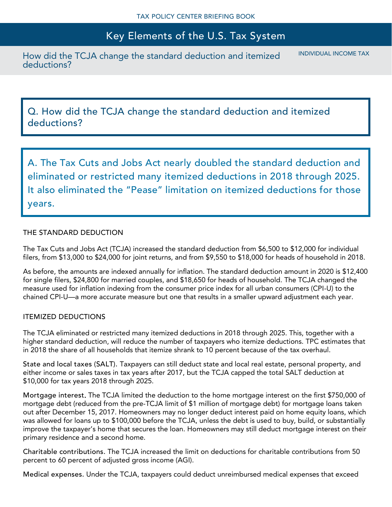How did the TCJA change the standard deduction and itemized deductions?

INDIVIDUAL INCOME TAX

Q. How did the TCJA change the standard deduction and itemized deductions?

A. The Tax Cuts and Jobs Act nearly doubled the standard deduction and eliminated or restricted many itemized deductions in 2018 through 2025. It also eliminated the "Pease" limitation on itemized deductions for those years.

### THE STANDARD DEDUCTION

The Tax Cuts and Jobs Act (TCJA) increased the standard deduction from \$6,500 to \$12,000 for individual filers, from \$13,000 to \$24,000 for joint returns, and from \$9,550 to \$18,000 for heads of household in 2018.

As before, the amounts are indexed annually for inflation. The standard deduction amount in 2020 is \$12,400 for single filers, \$24,800 for married couples, and \$18,650 for heads of household. The TCJA changed the measure used for inflation indexing from the consumer price index for all urban consumers (CPI-U) to the chained CPI-U—a more accurate measure but one that results in a smaller upward adjustment each year.

#### ITEMIZED DEDUCTIONS

The TCJA eliminated or restricted many itemized deductions in 2018 through 2025. This, together with a higher standard deduction, will reduce the number of taxpayers who itemize deductions. TPC estimates that in 2018 the share of all households that itemize shrank to 10 percent because of the tax overhaul.

State and local taxes (SALT). Taxpayers can still deduct state and local real estate, personal property, and either income or sales taxes in tax years after 2017, but the TCJA capped the total SALT deduction at \$10,000 for tax years 2018 through 2025.

Mortgage interest. The TCJA limited the deduction to the home mortgage interest on the first \$750,000 of mortgage debt (reduced from the pre-TCJA limit of \$1 million of mortgage debt) for mortgage loans taken out after December 15, 2017. Homeowners may no longer deduct interest paid on home equity loans, which was allowed for loans up to \$100,000 before the TCJA, unless the debt is used to buy, build, or substantially improve the taxpayer's home that secures the loan. Homeowners may still deduct mortgage interest on their primary residence and a second home.

Charitable contributions. The TCJA increased the limit on deductions for charitable contributions from 50 percent to 60 percent of adjusted gross income (AGI).

Medical expenses. Under the TCJA, taxpayers could deduct unreimbursed medical expenses that exceed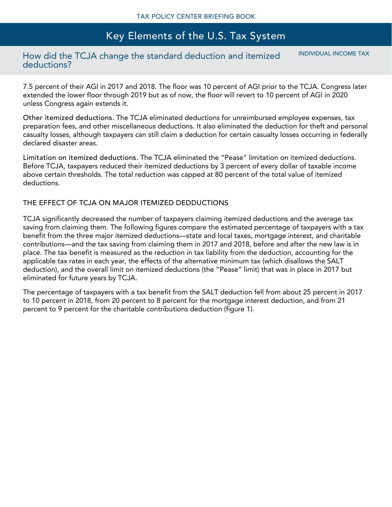## How did the TCJA change the standard deduction and itemized deductions?

INDIVIDUAL INCOME TAX

7.5 percent of their AGI in 2017 and 2018. The floor was 10 percent of AGI prior to the TCJA. Congress later extended the lower floor through 2019 but as of now, the floor will revert to 10 percent of AGI in 2020 unless Congress again extends it.

Other itemized deductions. The TCJA eliminated deductions for unreimbursed employee expenses, tax preparation fees, and other miscellaneous deductions. It also eliminated the deduction for theft and personal casualty losses, although taxpayers can still claim a deduction for certain casualty losses occurring in federally declared disaster areas.

Limitation on itemized deductions. The TCJA eliminated the "Pease" limitation on itemized deductions. Before TCJA, taxpayers reduced their itemized deductions by 3 percent of every dollar of taxable income above certain thresholds. The total reduction was capped at 80 percent of the total value of itemized deductions.

### THE EFFECT OF TCJA ON MAJOR ITEMIZED DEDDUCTIONS

TCJA significantly decreased the number of taxpayers claiming itemized deductions and the average tax saving from claiming them. The following figures compare the estimated percentage of taxpayers with a tax benefit from the three major itemized deductions—state and local taxes, mortgage interest, and charitable contributions—and the tax saving from claiming them in 2017 and 2018, before and after the new law is in place. The tax benefit is measured as the reduction in tax liability from the deduction, accounting for the applicable tax rates in each year, the effects of the alternative minimum tax (which disallows the SALT deduction), and the overall limit on itemized deductions (the "Pease" limit) that was in place in 2017 but eliminated for future years by TCJA.

The percentage of taxpayers with a tax benefit from the SALT deduction fell from about 25 percent in 2017 to 10 percent in 2018, from 20 percent to 8 percent for the mortgage interest deduction, and from 21 percent to 9 percent for the charitable contributions deduction (figure 1).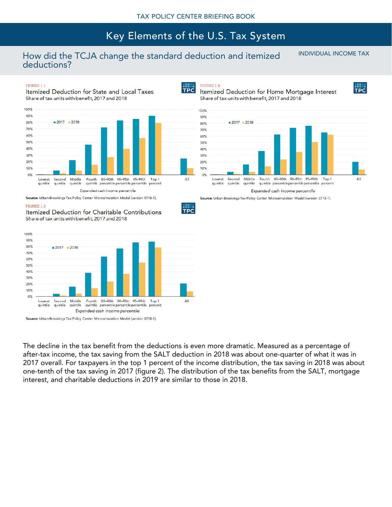## How did the TCJA change the standard deduction and itemized deductions?

INDIVIDUAL INCOME TAX

#### **FIGURE 1.1**

Itemized Deduction for State and Local Taxes Share of tax units with benefit, 2017 and 2018



Source: Urban-Brookings Tax Policy Center Microsimulation Model (version 0718-1).



Itemized Deduction for Charitable Contributions Share of tax units with benefit, 2017 and 2018



Source: Urban-Brookings Tax Policy Center Microsimulation Model (version 0718-1).

The decline in the tax benefit from the deductions is even more dramatic. Measured as a percentage of after-tax income, the tax saving from the SALT deduction in 2018 was about one-quarter of what it was in 2017 overall. For taxpayers in the top 1 percent of the income distribution, the tax saving in 2018 was about one-tenth of the tax saving in 2017 (figure 2). The distribution of the tax benefits from the SALT, mortgage interest, and charitable deductions in 2019 are similar to those in 2018.

**TPC** 





Itemized Deduction for Home Mortgage Interest Share of tax units with benefit, 2017 and 2018



Source: Urban-Brookings Tax Policy Center Microsimulation Model (version 0718-1).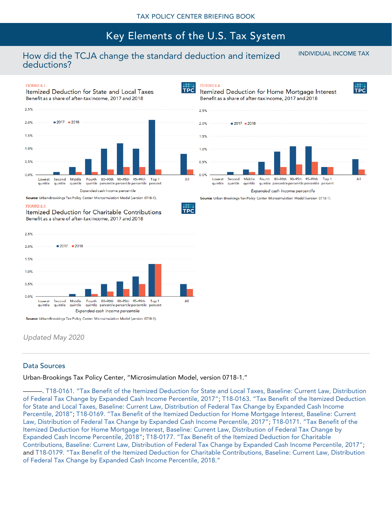**TPC** 

## How did the TCJA change the standard deduction and itemized deductions?

INDIVIDUAL INCOME TAX

#### FIGURE 2.1

Itemized Deduction for State and Local Taxes Benefit as a share of after-taxincome, 2017 and 2018 2.5%



Source: Urban-Brookings Tax Policy Center Microsimulation Model (version 0718-1).

#### **FIGURE 2.3**

Itemized Deduction for Charitable Contributions Benefit as a share of after-taxincome, 2017 and 2018



*Updated May 2020*

#### Data Sources

Urban-Brookings Tax Policy Center, "Microsimulation Model, version 0718-1."

———. T18-[0161. "Tax Benefit of the Itemized Deduction for State and Local Taxes, Baseline: Current Law, Distribution](https://www.taxpolicycenter.org/model-estimates/individual-income-tax-expenditures-october-2018/t18-0161-tax-benefit-itemized)  of Fe[deral Tax Change by Expanded Cash Income Percentile, 2017"](https://www.taxpolicycenter.org/model-estimates/individual-income-tax-expenditures-october-2018/t18-0161-tax-benefit-itemized); T18-[0163. "Tax Benefit of the Itemized Deduction](https://www.taxpolicycenter.org/model-estimates/individual-income-tax-expenditures-october-2018/t18-0163-tax-benefit-itemized)  [for State and Local Taxes, Baseline: Current Law, Distribution of Federal Tax Change by Expanded Cash Income](https://www.taxpolicycenter.org/model-estimates/individual-income-tax-expenditures-october-2018/t18-0163-tax-benefit-itemized)  [Percentile, 2018"](https://www.taxpolicycenter.org/model-estimates/individual-income-tax-expenditures-october-2018/t18-0163-tax-benefit-itemized); T18-[0169. "Tax Benefit of the Itemized Deduction for Home Mortgage Interest, Baseline: Current](https://www.taxpolicycenter.org/model-estimates/individual-income-tax-expenditures-october-2018/t18-0169-tax-benefit-itemized)  [Law, Distribution of Federal Tax Change by Expanded Cash Income Percentile, 2017"](https://www.taxpolicycenter.org/model-estimates/individual-income-tax-expenditures-october-2018/t18-0169-tax-benefit-itemized); T18-[0171. "Tax Benefit of the](https://www.taxpolicycenter.org/model-estimates/individual-income-tax-expenditures-october-2018/t18-0171-tax-benefit-itemized)  [Itemized Deduction for Home Mortgage Interest, Baseline: Current Law, Distribution of Federal Tax Change by](https://www.taxpolicycenter.org/model-estimates/individual-income-tax-expenditures-october-2018/t18-0171-tax-benefit-itemized)  [Expanded Cash Income Percentile, 2018"](https://www.taxpolicycenter.org/model-estimates/individual-income-tax-expenditures-october-2018/t18-0171-tax-benefit-itemized); T18-[0177. "Tax Benefit of the Itemized Deduction for Charitable](https://www.taxpolicycenter.org/model-estimates/individual-income-tax-expenditures-october-2018/t18-0177-tax-benefit-itemized)  Contributions, Baseline: Current Law, Distribution of F[ederal Tax Change by Expanded Cash Income Percentile, 2017"](https://www.taxpolicycenter.org/model-estimates/individual-income-tax-expenditures-october-2018/t18-0177-tax-benefit-itemized); and T18-0179. "Tax Benefit of the Itemized Deduction [for Charitable Contributions, Baseline: Current Law, Distribution](https://www.taxpolicycenter.org/model-estimates/individual-income-tax-expenditures-october-2018/t18-0179-tax-benefit-itemized)  [of Federal Tax Change by Expanded Cash Income Percentile, 2018."](https://www.taxpolicycenter.org/model-estimates/individual-income-tax-expenditures-october-2018/t18-0179-tax-benefit-itemized)



Source: Urban-Brookings Tax Policy Center Microsimulation Model (version 0718-1).